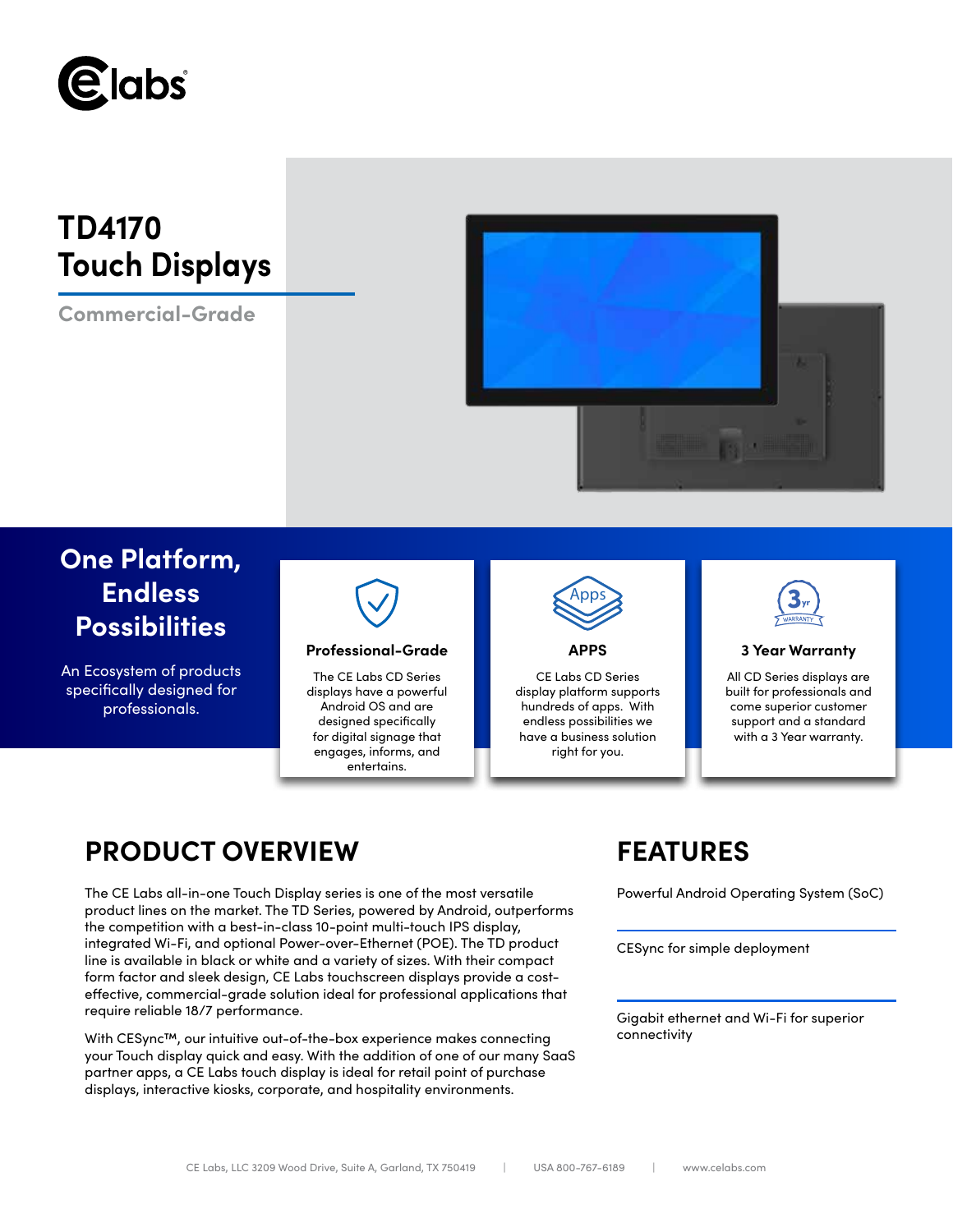

# **TD4170 Touch Displays**

**Commercial-Grade**



# **One Platform, Endless Possibilities**

An Ecosystem of products specifically designed for professionals.



## **Professional-Grade APPS 3 Year Warranty**

The CE Labs CD Series displays have a powerful Android OS and are designed specifically for digital signage that engages, informs, and entertains.



CE Labs CD Series display platform supports hundreds of apps. With endless possibilities we have a business solution right for you.



All CD Series displays are built for professionals and come superior customer support and a standard with a 3 Year warranty.

## **PRODUCT OVERVIEW FEATURES**

The CE Labs all-in-one Touch Display series is one of the most versatile Powerful Android Operating System (SoC) product lines on the market. The TD Series, powered by Android, outperforms the competition with a best-in-class 10-point multi-touch IPS display, integrated Wi-Fi, and optional Power-over-Ethernet (POE). The TD product line is available in black or white and a variety of sizes. With their compact form factor and sleek design, CE Labs touchscreen displays provide a costeffective, commercial-grade solution ideal for professional applications that require reliable 18/7 performance.

With CESync™, our intuitive out-of-the-box experience makes connecting your Touch display quick and easy. With the addition of one of our many SaaS partner apps, a CE Labs touch display is ideal for retail point of purchase displays, interactive kiosks, corporate, and hospitality environments.

CESync for simple deployment

Gigabit ethernet and Wi-Fi for superior connectivity